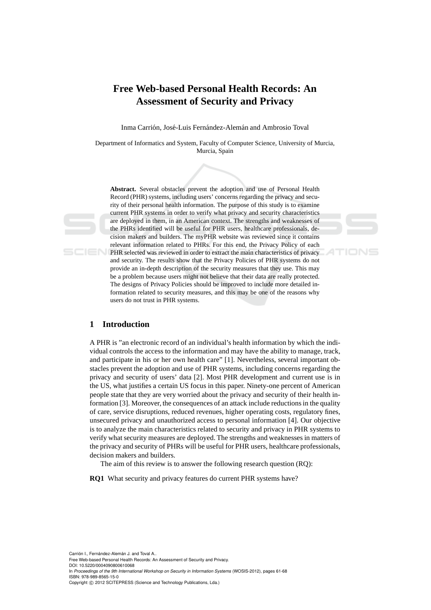# **Free Web-based Personal Health Records: An Assessment of Security and Privacy**

Inma Carrión, José-Luis Fernández-Alemán and Ambrosio Toval

Department of Informatics and System, Faculty of Computer Science, University of Murcia, Murcia, Spain

**Abstract.** Several obstacles prevent the adoption and use of Personal Health Record (PHR) systems, including users' concerns regarding the privacy and security of their personal health information. The purpose of this study is to examine current PHR systems in order to verify what privacy and security characteristics are deployed in them, in an American context. The strengths and weaknesses of the PHRs identified will be useful for PHR users, healthcare professionals, decision makers and builders. The myPHR website was reviewed since it contains relevant information related to PHRs. For this end, the Privacy Policy of each PHR selected was reviewed in order to extract the main characteristics of privacy and security. The results show that the Privacy Policies of PHR systems do not provide an in-depth description of the security measures that they use. This may be a problem because users might not believe that their data are really protected. The designs of Privacy Policies should be improved to include more detailed information related to security measures, and this may be one of the reasons why users do not trust in PHR systems.

# **1 Introduction**

A PHR is "an electronic record of an individual's health information by which the individual controls the access to the information and may have the ability to manage, track, and participate in his or her own health care" [1]. Nevertheless, several important obstacles prevent the adoption and use of PHR systems, including concerns regarding the privacy and security of users' data [2]. Most PHR development and current use is in the US, what justifies a certain US focus in this paper. Ninety-one percent of American people state that they are very worried about the privacy and security of their health information [3]. Moreover, the consequences of an attack include reductions in the quality of care, service disruptions, reduced revenues, higher operating costs, regulatory fines, unsecured privacy and unauthorized access to personal information [4]. Our objective is to analyze the main characteristics related to security and privacy in PHR systems to verify what security measures are deployed. The strengths and weaknesses in matters of the privacy and security of PHRs will be useful for PHR users, healthcare professionals, decision makers and builders.

The aim of this review is to answer the following research question (RQ):

**RQ1** What security and privacy features do current PHR systems have?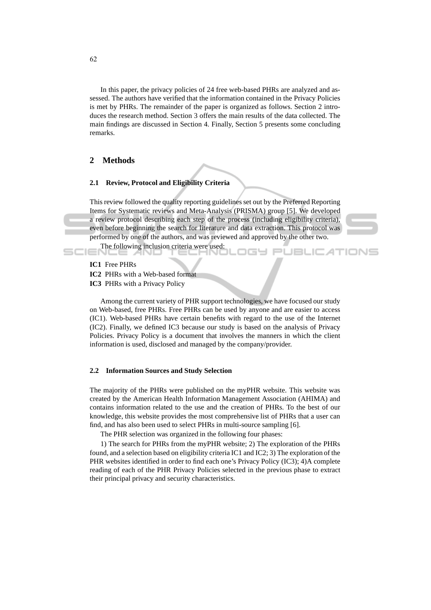In this paper, the privacy policies of 24 free web-based PHRs are analyzed and assessed. The authors have verified that the information contained in the Privacy Policies is met by PHRs. The remainder of the paper is organized as follows. Section 2 introduces the research method. Section 3 offers the main results of the data collected. The main findings are discussed in Section 4. Finally, Section 5 presents some concluding remarks.

# **2 Methods**

### **2.1 Review, Protocol and Eligibility Criteria**

This review followed the quality reporting guidelines set out by the Preferred Reporting Items for Systematic reviews and Meta-Analysis (PRISMA) group [5]. We developed a review protocol describing each step of the process (including eligibility criteria), even before beginning the search for literature and data extraction. This protocol was performed by one of the authors, and was reviewed and approved by the other two.

igy Pl



**JBLICATIONS** 

The following inclusion criteria were used:

**IC1** Free PHRs

**IC2** PHRs with a Web-based format

**IC3** PHRs with a Privacy Policy

Among the current variety of PHR support technologies, we have focused our study on Web-based, free PHRs. Free PHRs can be used by anyone and are easier to access (IC1). Web-based PHRs have certain benefits with regard to the use of the Internet (IC2). Finally, we defined IC3 because our study is based on the analysis of Privacy Policies. Privacy Policy is a document that involves the manners in which the client information is used, disclosed and managed by the company/provider.

### **2.2 Information Sources and Study Selection**

The majority of the PHRs were published on the myPHR website. This website was created by the American Health Information Management Association (AHIMA) and contains information related to the use and the creation of PHRs. To the best of our knowledge, this website provides the most comprehensive list of PHRs that a user can find, and has also been used to select PHRs in multi-source sampling [6].

The PHR selection was organized in the following four phases:

1) The search for PHRs from the myPHR website; 2) The exploration of the PHRs found, and a selection based on eligibility criteria IC1 and IC2; 3) The exploration of the PHR websites identified in order to find each one's Privacy Policy (IC3); 4)A complete reading of each of the PHR Privacy Policies selected in the previous phase to extract their principal privacy and security characteristics.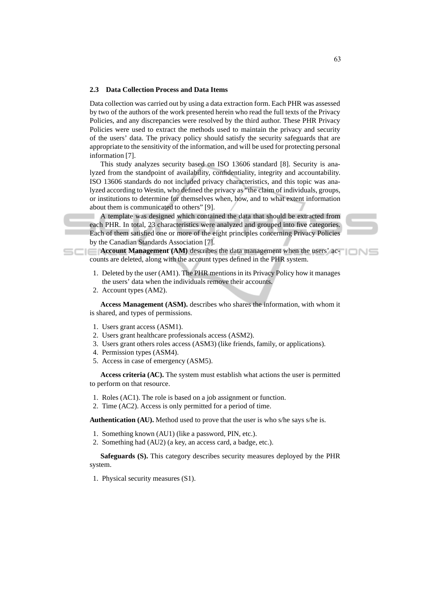#### **2.3 Data Collection Process and Data Items**

Data collection was carried out by using a data extraction form. Each PHR was assessed by two of the authors of the work presented herein who read the full texts of the Privacy Policies, and any discrepancies were resolved by the third author. These PHR Privacy Policies were used to extract the methods used to maintain the privacy and security of the users' data. The privacy policy should satisfy the security safeguards that are appropriate to the sensitivity of the information, and will be used for protecting personal information [7].

This study analyzes security based on ISO 13606 standard [8]. Security is analyzed from the standpoint of availability, confidentiality, integrity and accountability. ISO 13606 standards do not included privacy characteristics, and this topic was analyzed according to Westin, who defined the privacy as "the claim of individuals, groups, or institutions to determine for themselves when, how, and to what extent information about them is communicated to others" [9].

A template was designed which contained the data that should be extracted from each PHR. In total, 23 characteristics were analyzed and grouped into five categories. Each of them satisfied one or more of the eight principles concerning Privacy Policies by the Canadian Standards Association [7].

**Account Management (AM)** describes the data management when the users' accounts are deleted, along with the account types defined in the PHR system.

- 1. Deleted by the user (AM1). The PHR mentions in its Privacy Policy how it manages the users' data when the individuals remove their accounts.
- 2. Account types (AM2).

**Access Management (ASM).** describes who shares the information, with whom it is shared, and types of permissions.

- 1. Users grant access (ASM1).
- 2. Users grant healthcare professionals access (ASM2).
- 3. Users grant others roles access (ASM3) (like friends, family, or applications).
- 4. Permission types (ASM4).
- 5. Access in case of emergency (ASM5).

**Access criteria (AC).** The system must establish what actions the user is permitted to perform on that resource.

- 1. Roles (AC1). The role is based on a job assignment or function.
- 2. Time (AC2). Access is only permitted for a period of time.

**Authentication (AU).** Method used to prove that the user is who s/he says s/he is.

- 1. Something known (AU1) (like a password, PIN, etc.).
- 2. Something had (AU2) (a key, an access card, a badge, etc.).

**Safeguards (S).** This category describes security measures deployed by the PHR system.

1. Physical security measures (S1).

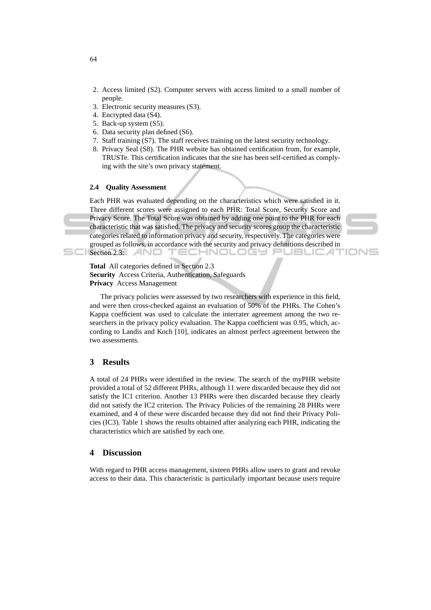- 2. Access limited (S2). Computer servers with access limited to a small number of people.
- 3. Electronic security measures (S3).
- 4. Encrypted data (S4).
- 5. Back-up system (S5).
- 6. Data security plan defined (S6).
- 7. Staff training (S7). The staff receives training on the latest security technology.
- 8. Privacy Seal (S8). The PHR website has obtained certification from, for example, TRUSTe. This certification indicates that the site has been self-certified as complying with the site's own privacy statement.

# **2.4 Quality Assessment**

Each PHR was evaluated depending on the characteristics which were satisfied in it. Three different scores were assigned to each PHR: Total Score, Security Score and Privacy Score. The Total Score was obtained by adding one point to the PHR for each characteristic that was satisfied. The privacy and security scores group the characteristic categories related to information privacy and security, respectively. The categories were grouped as follows, in accordance with the security and privacy definitions described in TECHNOLOGY  $\blacksquare$  Section 2.3:  $\blacksquare$ PUBLIC AT

'IONS



The privacy policies were assessed by two researchers with experience in this field, and were then cross-checked against an evaluation of 50% of the PHRs. The Cohen's Kappa coefficient was used to calculate the interrater agreement among the two researchers in the privacy policy evaluation. The Kappa coefficient was 0.95, which, according to Landis and Koch [10], indicates an almost perfect agreement between the two assessments.

# **3 Results**

A total of 24 PHRs were identified in the review. The search of the myPHR website provided a total of 52 different PHRs, although 11 were discarded because they did not satisfy the IC1 criterion. Another 13 PHRs were then discarded because they clearly did not satisfy the IC2 criterion. The Privacy Policies of the remaining 28 PHRs were examined, and 4 of these were discarded because they did not find their Privacy Policies (IC3). Table 1 shows the results obtained after analyzing each PHR, indicating the characteristics which are satisfied by each one.

# **4 Discussion**

With regard to PHR access management, sixteen PHRs allow users to grant and revoke access to their data. This characteristic is particularly important because users require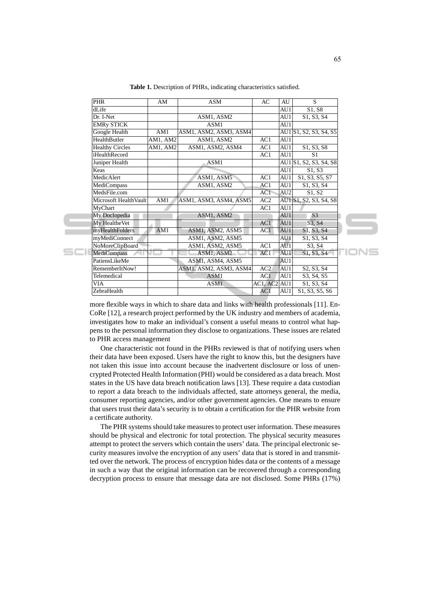| $\overline{PHR}$       | AM       | <b>ASM</b>             | AC           | AU              | S                                                |
|------------------------|----------|------------------------|--------------|-----------------|--------------------------------------------------|
| dLife                  |          |                        |              | AU1             | S1, S8                                           |
| Dr. I-Net              |          | ASM1, ASM2             |              | AU1             | S1, S3, S4                                       |
| <b>EMRy STICK</b>      |          | ASM1                   |              | AU1             |                                                  |
| Google Health          | AM1      | ASM1, ASM2, ASM3, ASM4 |              |                 | AU1 S1, S2, S3, S4, S5                           |
| HealthButler           | AM1, AM2 | ASM1, ASM2             | AC1          | AU1             |                                                  |
| <b>Healthy Circles</b> | AM1, AM2 | ASM1, ASM2, ASM4       | AC1          | AU1             | S1, S3, S8                                       |
| iHealthRecord          |          |                        | AC1          | AI1             | S <sub>1</sub>                                   |
| Juniper Health         |          | ASM1                   |              |                 | AU1 S1, S2, S3, S4, S8                           |
| Keas                   |          |                        |              | AU1             | S1. S3                                           |
| MedicAlert             |          | ASM1, ASM5             | AC1          | AU1             | S1, S3, S5, S7                                   |
| MediCompass            |          | ASM1, ASM2             | AC1          | AU1             | S1, S3, S4                                       |
| MedsFile.com           |          |                        | AC1          | AU <sub>2</sub> | S1. S2                                           |
| Microsoft HealthVault  | AM1      | ASM1, ASM3, ASM4, ASM5 | AC2          |                 | AU1 S1, S2, S3, S4, S8                           |
| MyChart                |          |                        | AC1          | AU1             |                                                  |
| My Doclopedia          |          | ASM1, ASM2             |              | AU1             | S <sub>3</sub>                                   |
| My HealtheVet          |          |                        | AC1          | AU1             | S3, S4                                           |
| myHealthFolders        | AM1      | ASM1, ASM2, ASM5       | AC1          | AU1             | S1, S3, S4                                       |
| myMediConnect          |          | ASM1, ASM2, ASM5       |              | AU1             | S1, S3, S4                                       |
| NoMoreClipBoard        |          | ASM1, ASM2, ASM5       | AC1          | AU1             | S3. S4                                           |
| <b>MediCompass</b>     |          | ASM1, ASM2             | AC1          | AU1             | S1, S3, S4                                       |
| PatiensLikeMe          |          | ASM1, ASM4, ASM5       |              | AU1             |                                                  |
| RememberItNow!         |          | ASM1, ASM2, ASM3, ASM4 | AC2          | AU1             | S <sub>2</sub> , S <sub>3</sub> , S <sub>4</sub> |
| Telemedical            |          | ASM1                   | AC1          | AU1             | S3, S4, S5                                       |
| VIA                    |          | ASM1                   | AC1, AC2 AU1 |                 | S1, S3, S4                                       |
| ZebraHealth            |          |                        | AC1          | AU1             | S1, S3, S5, S6                                   |
|                        |          |                        |              |                 |                                                  |

**Table 1.** Description of PHRs, indicating characteristics satisfied.

more flexible ways in which to share data and links with health professionals [11]. En-CoRe [12], a research project performed by the UK industry and members of academia, investigates how to make an individual's consent a useful means to control what happens to the personal information they disclose to organizations. These issues are related to PHR access management

One characteristic not found in the PHRs reviewed is that of notifying users when their data have been exposed. Users have the right to know this, but the designers have not taken this issue into account because the inadvertent disclosure or loss of unencrypted Protected Health Information (PHI) would be considered as a data breach. Most states in the US have data breach notification laws [13]. These require a data custodian to report a data breach to the individuals affected, state attorneys general, the media, consumer reporting agencies, and/or other government agencies. One means to ensure that users trust their data's security is to obtain a certification for the PHR website from a certificate authority.

The PHR systems should take measures to protect user information. These measures should be physical and electronic for total protection. The physical security measures attempt to protect the servers which contain the users' data. The principal electronic security measures involve the encryption of any users' data that is stored in and transmitted over the network. The process of encryption hides data or the contents of a message in such a way that the original information can be recovered through a corresponding decryption process to ensure that message data are not disclosed. Some PHRs (17%)

**IONS** 

 $SCI$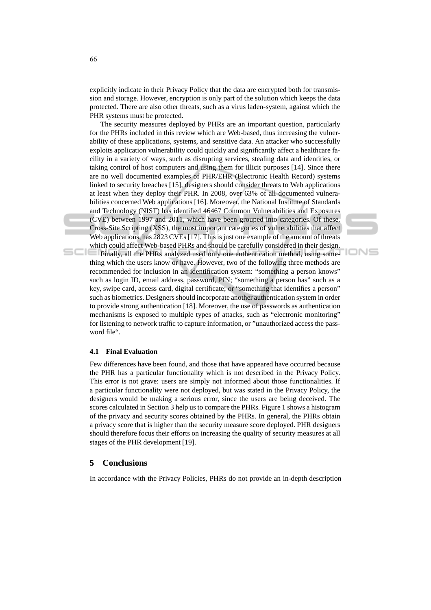explicitly indicate in their Privacy Policy that the data are encrypted both for transmission and storage. However, encryption is only part of the solution which keeps the data protected. There are also other threats, such as a virus laden-system, against which the PHR systems must be protected.

The security measures deployed by PHRs are an important question, particularly for the PHRs included in this review which are Web-based, thus increasing the vulnerability of these applications, systems, and sensitive data. An attacker who successfully exploits application vulnerability could quickly and significantly affect a healthcare facility in a variety of ways, such as disrupting services, stealing data and identities, or taking control of host computers and using them for illicit purposes [14]. Since there are no well documented examples of PHR/EHR (Electronic Health Record) systems linked to security breaches [15], designers should consider threats to Web applications at least when they deploy their PHR. In 2008, over 63% of all documented vulnerabilities concerned Web applications [16]. Moreover, the National Institute of Standards and Technology (NIST) has identified 46467 Common Vulnerabilities and Exposures (CVE) between 1997 and 2011, which have been grouped into categories. Of these, Cross-Site Scripting (XSS), the most important categories of vulnerabilities that affect Web applications, has 2823 CVEs [17]. This is just one example of the amount of threats which could affect Web-based PHRs and should be carefully considered in their design.<br>Finally all the PHRs analyzed used only one authentication method, using some

Finally, all the PHRs analyzed used only one authentication method, using something which the users know or have. However, two of the following three methods are recommended for inclusion in an identification system: "something a person knows" such as login ID, email address, password, PIN; "something a person has" such as a key, swipe card, access card, digital certificate; or "something that identifies a person" such as biometrics. Designers should incorporate another authentication system in order to provide strong authentication [18]. Moreover, the use of passwords as authentication mechanisms is exposed to multiple types of attacks, such as "electronic monitoring" for listening to network traffic to capture information, or "unauthorized access the password file".

IONS

# **4.1 Final Evaluation**

Few differences have been found, and those that have appeared have occurred because the PHR has a particular functionality which is not described in the Privacy Policy. This error is not grave: users are simply not informed about those functionalities. If a particular functionality were not deployed, but was stated in the Privacy Policy, the designers would be making a serious error, since the users are being deceived. The scores calculated in Section 3 help us to compare the PHRs. Figure 1 shows a histogram of the privacy and security scores obtained by the PHRs. In general, the PHRs obtain a privacy score that is higher than the security measure score deployed. PHR designers should therefore focus their efforts on increasing the quality of security measures at all stages of the PHR development [19].

### **5 Conclusions**

In accordance with the Privacy Policies, PHRs do not provide an in-depth description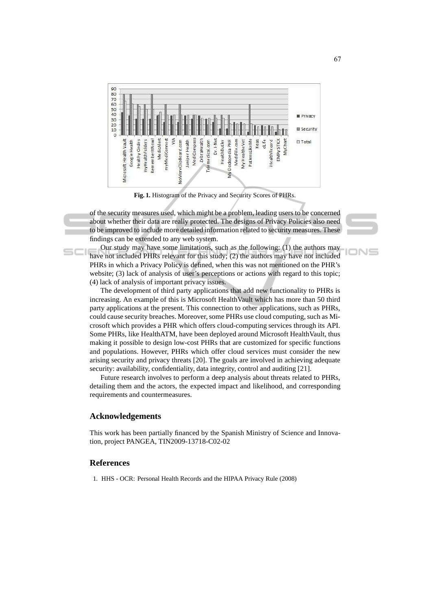

**Fig. 1.** Histogram of the Privacy and Security Scores of PHRs.

of the security measures used, which might be a problem, leading users to be concerned about whether their data are really protected. The designs of Privacy Policies also need to be improved to include more detailed information related to security measures. These findings can be extended to any web system.

Our study may have some limitations, such as the following: (1) the authors may have not included PHRs relevant for this study; (2) the authors may have not included PHRs in which a Privacy Policy is defined, when this was not mentioned on the PHR's website; (3) lack of analysis of user's perceptions or actions with regard to this topic; (4) lack of analysis of important privacy issues.

The development of third party applications that add new functionality to PHRs is increasing. An example of this is Microsoft HealthVault which has more than 50 third party applications at the present. This connection to other applications, such as PHRs, could cause security breaches. Moreover, some PHRs use cloud computing, such as Microsoft which provides a PHR which offers cloud-computing services through its API. Some PHRs, like HealthATM, have been deployed around Microsoft HealthVault, thus making it possible to design low-cost PHRs that are customized for specific functions and populations. However, PHRs which offer cloud services must consider the new arising security and privacy threats [20]. The goals are involved in achieving adequate security: availability, confidentiality, data integrity, control and auditing [21].

Future research involves to perform a deep analysis about threats related to PHRs, detailing them and the actors, the expected impact and likelihood, and corresponding requirements and countermeasures.

# **Acknowledgements**

This work has been partially financed by the Spanish Ministry of Science and Innovation, project PANGEA, TIN2009-13718-C02-02

# **References**

 $SCI$ 

1. HHS - OCR: Personal Health Records and the HIPAA Privacy Rule (2008)

**DNE**